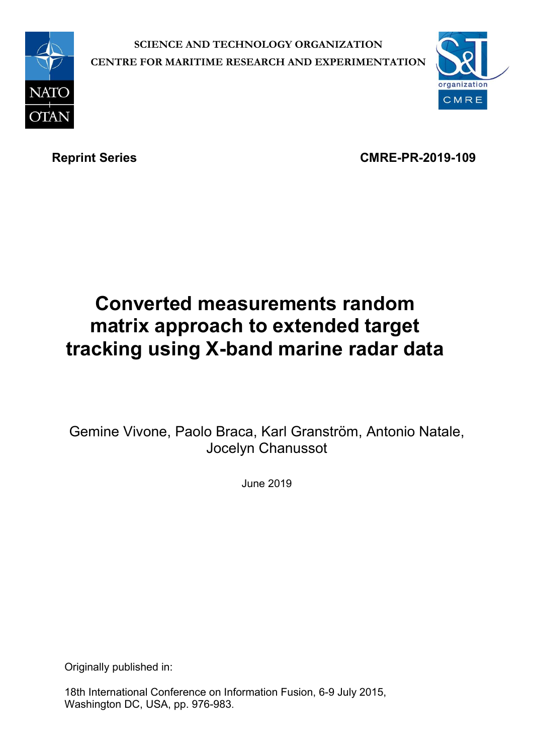

**SCIENCE AND TECHNOLOGY ORGANIZATION CENTRE FOR MARITIME RESEARCH AND EXPERIMENTATION**



Reprint Series **CMRE-PR-2019-109** 

# **Converted measurements random matrix approach to extended target tracking using X-band marine radar data**

Gemine Vivone, Paolo Braca, Karl Granström, Antonio Natale, Jocelyn Chanussot

June 2019

Originally published in:

18th International Conference on Information Fusion, 6-9 July 2015, Washington DC, USA, pp. 976-983.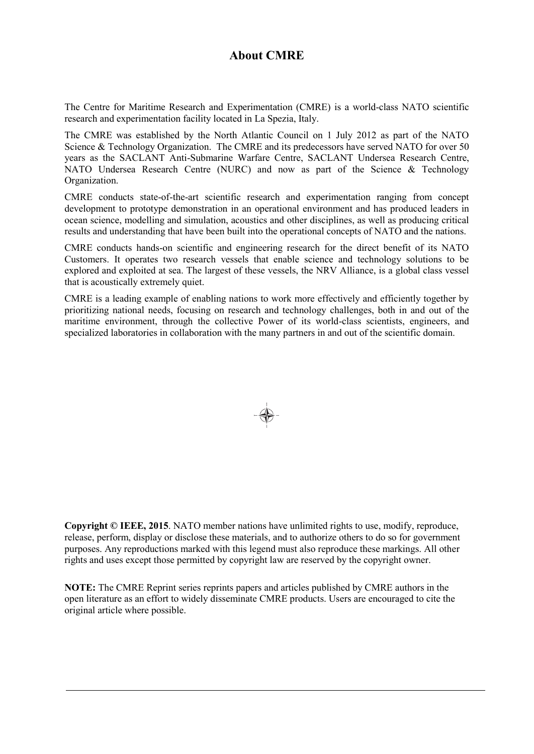# **About CMRE**

The Centre for Maritime Research and Experimentation (CMRE) is a world-class NATO scientific research and experimentation facility located in La Spezia, Italy.

The CMRE was established by the North Atlantic Council on 1 July 2012 as part of the NATO Science & Technology Organization. The CMRE and its predecessors have served NATO for over 50 years as the SACLANT Anti-Submarine Warfare Centre, SACLANT Undersea Research Centre, NATO Undersea Research Centre (NURC) and now as part of the Science & Technology Organization.

CMRE conducts state-of-the-art scientific research and experimentation ranging from concept development to prototype demonstration in an operational environment and has produced leaders in ocean science, modelling and simulation, acoustics and other disciplines, as well as producing critical results and understanding that have been built into the operational concepts of NATO and the nations.

CMRE conducts hands-on scientific and engineering research for the direct benefit of its NATO Customers. It operates two research vessels that enable science and technology solutions to be explored and exploited at sea. The largest of these vessels, the NRV Alliance, is a global class vessel that is acoustically extremely quiet.

CMRE is a leading example of enabling nations to work more effectively and efficiently together by prioritizing national needs, focusing on research and technology challenges, both in and out of the maritime environment, through the collective Power of its world-class scientists, engineers, and specialized laboratories in collaboration with the many partners in and out of the scientific domain.



**Copyright © IEEE, 2015**. NATO member nations have unlimited rights to use, modify, reproduce, release, perform, display or disclose these materials, and to authorize others to do so for government purposes. Any reproductions marked with this legend must also reproduce these markings. All other rights and uses except those permitted by copyright law are reserved by the copyright owner.

**NOTE:** The CMRE Reprint series reprints papers and articles published by CMRE authors in the open literature as an effort to widely disseminate CMRE products. Users are encouraged to cite the original article where possible.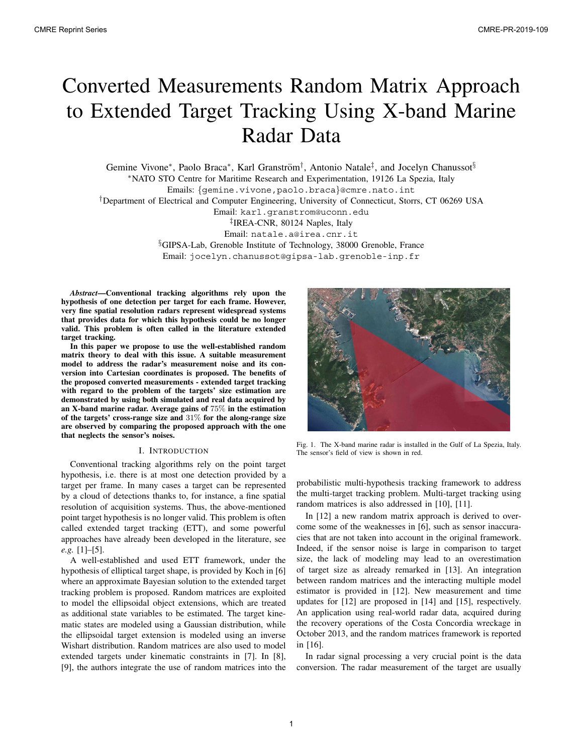# Converted Measurements Random Matrix Approach to Extended Target Tracking Using X-band Marine Radar Data

Gemine Vivone<sup>∗</sup>, Paolo Braca<sup>∗</sup>, Karl Granström<sup>†</sup>, Antonio Natale<sup>‡</sup>, and Jocelyn Chanussot<sup>§</sup> <sup>∗</sup>NATO STO Centre for Maritime Research and Experimentation, 19126 La Spezia, Italy Emails: {gemine.vivone,paolo.braca}@cmre.nato.int †Department of Electrical and Computer Engineering, University of Connecticut, Storrs, CT 06269 USA Email: karl.granstrom@uconn.edu ‡IREA-CNR, 80124 Naples, Italy Email: natale.a@irea.cnr.it §GIPSA-Lab, Grenoble Institute of Technology, 38000 Grenoble, France Email: jocelyn.chanussot@gipsa-lab.grenoble-inp.fr

*Abstract***—Conventional tracking algorithms rely upon the hypothesis of one detection per target for each frame. However, very fine spatial resolution radars represent widespread systems that provides data for which this hypothesis could be no longer valid. This problem is often called in the literature extended target tracking.**

**In this paper we propose to use the well-established random matrix theory to deal with this issue. A suitable measurement model to address the radar's measurement noise and its conversion into Cartesian coordinates is proposed. The benefits of the proposed converted measurements - extended target tracking with regard to the problem of the targets' size estimation are demonstrated by using both simulated and real data acquired by an X-band marine radar. Average gains of** 75% **in the estimation of the targets' cross-range size and** 31% **for the along-range size are observed by comparing the proposed approach with the one that neglects the sensor's noises.**

### I. INTRODUCTION

Conventional tracking algorithms rely on the point target hypothesis, i.e. there is at most one detection provided by a target per frame. In many cases a target can be represented by a cloud of detections thanks to, for instance, a fine spatial resolution of acquisition systems. Thus, the above-mentioned point target hypothesis is no longer valid. This problem is often called extended target tracking (ETT), and some powerful approaches have already been developed in the literature, see *e.g.* [1]–[5].

A well-established and used ETT framework, under the hypothesis of elliptical target shape, is provided by Koch in [6] where an approximate Bayesian solution to the extended target tracking problem is proposed. Random matrices are exploited to model the ellipsoidal object extensions, which are treated as additional state variables to be estimated. The target kinematic states are modeled using a Gaussian distribution, while the ellipsoidal target extension is modeled using an inverse Wishart distribution. Random matrices are also used to model extended targets under kinematic constraints in [7]. In [8], [9], the authors integrate the use of random matrices into the



Fig. 1. The X-band marine radar is installed in the Gulf of La Spezia, Italy. The sensor's field of view is shown in red.

probabilistic multi-hypothesis tracking framework to address the multi-target tracking problem. Multi-target tracking using random matrices is also addressed in [10], [11].

In [12] a new random matrix approach is derived to overcome some of the weaknesses in [6], such as sensor inaccuracies that are not taken into account in the original framework. Indeed, if the sensor noise is large in comparison to target size, the lack of modeling may lead to an overestimation of target size as already remarked in [13]. An integration between random matrices and the interacting multiple model estimator is provided in [12]. New measurement and time updates for [12] are proposed in [14] and [15], respectively. An application using real-world radar data, acquired during the recovery operations of the Costa Concordia wreckage in October 2013, and the random matrices framework is reported in [16].

In radar signal processing a very crucial point is the data conversion. The radar measurement of the target are usually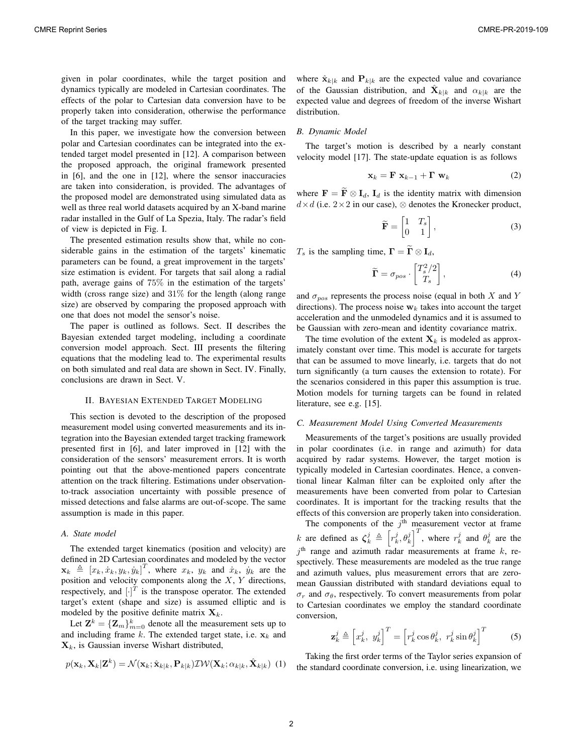given in polar coordinates, while the target position and dynamics typically are modeled in Cartesian coordinates. The effects of the polar to Cartesian data conversion have to be properly taken into consideration, otherwise the performance of the target tracking may suffer.

In this paper, we investigate how the conversion between polar and Cartesian coordinates can be integrated into the extended target model presented in [12]. A comparison between the proposed approach, the original framework presented in [6], and the one in [12], where the sensor inaccuracies are taken into consideration, is provided. The advantages of the proposed model are demonstrated using simulated data as well as three real world datasets acquired by an X-band marine radar installed in the Gulf of La Spezia, Italy. The radar's field of view is depicted in Fig. I.

The presented estimation results show that, while no considerable gains in the estimation of the targets' kinematic parameters can be found, a great improvement in the targets' size estimation is evident. For targets that sail along a radial path, average gains of 75% in the estimation of the targets' width (cross range size) and 31% for the length (along range size) are observed by comparing the proposed approach with one that does not model the sensor's noise.

The paper is outlined as follows. Sect. II describes the Bayesian extended target modeling, including a coordinate conversion model approach. Sect. III presents the filtering equations that the modeling lead to. The experimental results on both simulated and real data are shown in Sect. IV. Finally, conclusions are drawn in Sect. V.

#### II. BAYESIAN EXTENDED TARGET MODELING

This section is devoted to the description of the proposed measurement model using converted measurements and its integration into the Bayesian extended target tracking framework presented first in [6], and later improved in [12] with the consideration of the sensors' measurement errors. It is worth pointing out that the above-mentioned papers concentrate attention on the track filtering. Estimations under observationto-track association uncertainty with possible presence of missed detections and false alarms are out-of-scope. The same assumption is made in this paper.

## *A. State model*

The extended target kinematics (position and velocity) are defined in 2D Cartesian coordinates and modeled by the vector  $\mathbf{x}_k \triangleq [x_k, \dot{x}_k, y_k, \dot{y}_k]^T$ , where  $x_k$ ,  $y_k$  and  $\dot{x}_k$ ,  $\dot{y}_k$  are the position and velocity components along the  $X$ ,  $Y$  directions, respectively, and  $[\cdot]^{T}$  is the transpose operator. The extended target's extent (shape and size) is assumed elliptic and is modeled by the positive definite matrix  $X_k$ .

Let  $\mathbf{Z}^k = {\mathbf{Z}_m}_{m=0}^k$  denote all the measurement sets up to and including frame  $k$ . The extended target state, i.e.  $x_k$  and  $\mathbf{X}_k$ , is Gaussian inverse Wishart distributed,

$$
p(\mathbf{x}_k, \mathbf{X}_k | \mathbf{Z}^k) = \mathcal{N}(\mathbf{x}_k; \hat{\mathbf{x}}_{k|k}, \mathbf{P}_{k|k}) \mathcal{IW}(\mathbf{X}_k; \alpha_{k|k}, \hat{\mathbf{X}}_{k|k})
$$
(1)

where  $\hat{\mathbf{x}}_{k|k}$  and  $\mathbf{P}_{k|k}$  are the expected value and covariance of the Gaussian distribution, and  $\ddot{\mathbf{X}}_{k|k}$  and  $\alpha_{k|k}$  are the expected value and degrees of freedom of the inverse Wishart distribution.

# *B. Dynamic Model*

The target's motion is described by a nearly constant velocity model [17]. The state-update equation is as follows

$$
\mathbf{x}_k = \mathbf{F} \; \mathbf{x}_{k-1} + \mathbf{\Gamma} \; \mathbf{w}_k \tag{2}
$$

where  $\mathbf{F} = \widetilde{\mathbf{F}} \otimes \mathbf{I}_d$ ,  $\mathbf{I}_d$  is the identity matrix with dimension  $d \times d$  (i.e. 2×2 in our case),  $\otimes$  denotes the Kronecker product,

$$
\widetilde{\mathbf{F}} = \begin{bmatrix} 1 & T_s \\ 0 & 1 \end{bmatrix},\tag{3}
$$

 $T_s$  is the sampling time,  $\mathbf{\Gamma} = \widetilde{\mathbf{\Gamma}} \otimes \mathbf{I}_d$ ,

$$
\widetilde{\Gamma} = \sigma_{pos} \cdot \begin{bmatrix} T_s^2/2 \\ T_s \end{bmatrix},\tag{4}
$$

and  $\sigma_{pos}$  represents the process noise (equal in both X and Y directions). The process noise  $w_k$  takes into account the target acceleration and the unmodeled dynamics and it is assumed to be Gaussian with zero-mean and identity covariance matrix.

The time evolution of the extent  $X_k$  is modeled as approximately constant over time. This model is accurate for targets that can be assumed to move linearly, i.e. targets that do not turn significantly (a turn causes the extension to rotate). For the scenarios considered in this paper this assumption is true. Motion models for turning targets can be found in related literature, see e.g. [15].

#### *C. Measurement Model Using Converted Measurements*

Measurements of the target's positions are usually provided in polar coordinates (i.e. in range and azimuth) for data acquired by radar systems. However, the target motion is typically modeled in Cartesian coordinates. Hence, a conventional linear Kalman filter can be exploited only after the measurements have been converted from polar to Cartesian coordinates. It is important for the tracking results that the effects of this conversion are properly taken into consideration.

The components of the  $j<sup>th</sup>$  measurement vector at frame k are defined as  $\zeta_k^j \triangleq \left[r_k^j, \theta_k^j\right]^T$ , where  $r_k^j$  and  $\theta_k^j$  are the  $j<sup>th</sup>$  range and azimuth radar measurements at frame  $k$ , respectively. These measurements are modeled as the true range and azimuth values, plus measurement errors that are zeromean Gaussian distributed with standard deviations equal to  $\sigma_r$  and  $\sigma_\theta$ , respectively. To convert measurements from polar to Cartesian coordinates we employ the standard coordinate conversion,

$$
\mathbf{z}_{k}^{j} \triangleq \left[x_{k}^{j}, y_{k}^{j}\right]^{T} = \left[r_{k}^{j} \cos \theta_{k}^{j}, r_{k}^{j} \sin \theta_{k}^{j}\right]^{T} \tag{5}
$$

Taking the first order terms of the Taylor series expansion of the standard coordinate conversion, i.e. using linearization, we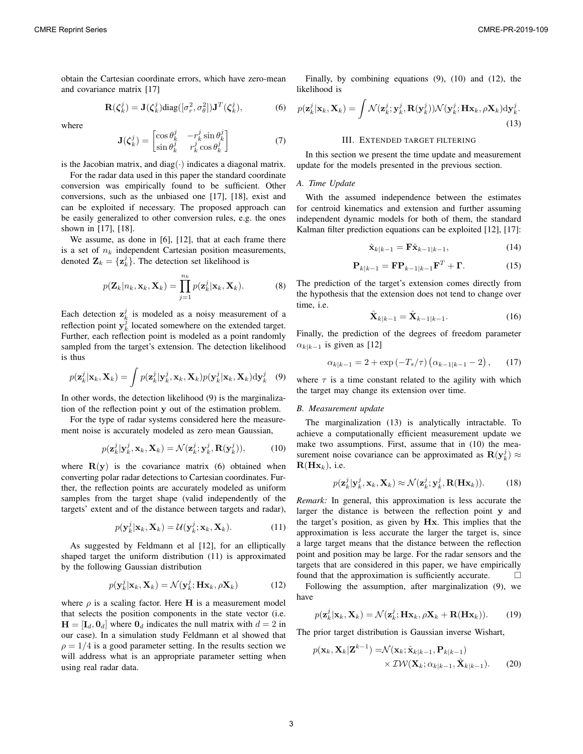obtain the Cartesian coordinate errors, which have zero-mean and covariance matrix [17]

$$
\mathbf{R}(\zeta_k^j) = \mathbf{J}(\zeta_k^j) \text{diag}([\sigma_r^2, \sigma_\theta^2]) \mathbf{J}^T(\zeta_k^j), \tag{6}
$$

where

$$
\mathbf{J}(\zeta_k^j) = \begin{bmatrix} \cos \theta_k^j & -r_k^j \sin \theta_k^j \\ \sin \theta_k^j & r_k^j \cos \theta_k^j \end{bmatrix}
$$
(7)

is the Jacobian matrix, and diag(⋅) indicates a diagonal matrix.

For the radar data used in this paper the standard coordinate conversion was empirically found to be sufficient. Other conversions, such as the unbiased one [17], [18], exist and can be exploited if necessary. The proposed approach can be easily generalized to other conversion rules, e.g. the ones shown in [17], [18].

We assume, as done in [6], [12], that at each frame there is a set of  $n_k$  independent Cartesian position measurements, denoted  $\mathbf{Z}_k = {\mathbf{z}_k^j}$ . The detection set likelihood is

$$
p(\mathbf{Z}_k|n_k, \mathbf{x}_k, \mathbf{X}_k) = \prod_{j=1}^{n_k} p(\mathbf{z}_k^j | \mathbf{x}_k, \mathbf{X}_k).
$$
 (8)

Each detection  $z_k^j$  is modeled as a noisy measurement of a reflection point  $y_k^{\hat{j}}$  located somewhere on the extended target. Further, each reflection point is modeled as a point randomly sampled from the target's extension. The detection likelihood is thus

$$
p(\mathbf{z}_k^j|\mathbf{x}_k,\mathbf{X}_k) = \int p(\mathbf{z}_k^j|\mathbf{y}_k^j,\mathbf{x}_k,\mathbf{X}_k)p(\mathbf{y}_k^j|\mathbf{x}_k,\mathbf{X}_k)\mathrm{d}\mathbf{y}_k^j
$$
(9)

In other words, the detection likelihood (9) is the marginalization of the reflection point y out of the estimation problem.

For the type of radar systems considered here the measurement noise is accurately modeled as zero mean Gaussian,

$$
p(\mathbf{z}_k^j|\mathbf{y}_k^j,\mathbf{x}_k,\mathbf{X}_k) = \mathcal{N}(\mathbf{z}_k^j;\mathbf{y}_k^j,\mathbf{R}(\mathbf{y}_k^j)),
$$
 (10)

where  $R(y)$  is the covariance matrix (6) obtained when converting polar radar detections to Cartesian coordinates. Further, the reflection points are accurately modeled as uniform samples from the target shape (valid independently of the targets' extent and of the distance between targets and radar),

$$
p(\mathbf{y}_k^j|\mathbf{x}_k,\mathbf{X}_k) = \mathcal{U}(\mathbf{y}_k^j;\mathbf{x}_k,\mathbf{X}_k).
$$
 (11)

As suggested by Feldmann et al [12], for an elliptically shaped target the uniform distribution (11) is approximated by the following Gaussian distribution

$$
p(\mathbf{y}_k^j | \mathbf{x}_k, \mathbf{X}_k) = \mathcal{N}(\mathbf{y}_k^j; \mathbf{H}\mathbf{x}_k, \rho \mathbf{X}_k)
$$
(12)

where  $\rho$  is a scaling factor. Here H is a measurement model that selects the position components in the state vector (i.e.  $H = [\mathbf{I}_d, \mathbf{0}_d]$  where  $\mathbf{0}_d$  indicates the null matrix with  $d = 2$  in our case). In a simulation study Feldmann et al showed that  $\rho = 1/4$  is a good parameter setting. In the results section we will address what is an appropriate parameter setting when using real radar data.

Finally, by combining equations (9), (10) and (12), the likelihood is

$$
p(\mathbf{z}_k^j|\mathbf{x}_k,\mathbf{X}_k) = \int \mathcal{N}(\mathbf{z}_k^j; \mathbf{y}_k^j, \mathbf{R}(\mathbf{y}_k^j)) \mathcal{N}(\mathbf{y}_k^j; \mathbf{H}\mathbf{x}_k, \rho \mathbf{X}_k) d\mathbf{y}_k^j.
$$
(13)

#### III. EXTENDED TARGET FILTERING

In this section we present the time update and measurement update for the models presented in the previous section.

#### *A. Time Update*

With the assumed independence between the estimates for centroid kinematics and extension and further assuming independent dynamic models for both of them, the standard Kalman filter prediction equations can be exploited [12], [17]:

$$
\hat{\mathbf{x}}_{k|k-1} = \mathbf{F}\hat{\mathbf{x}}_{k-1|k-1},\tag{14}
$$

$$
\mathbf{P}_{k|k-1} = \mathbf{F} \mathbf{P}_{k-1|k-1} \mathbf{F}^T + \mathbf{\Gamma}.
$$
 (15)

The prediction of the target's extension comes directly from the hypothesis that the extension does not tend to change over time, i.e.

$$
\hat{\mathbf{X}}_{k|k-1} = \hat{\mathbf{X}}_{k-1|k-1}.
$$
 (16)

Finally, the prediction of the degrees of freedom parameter  $\alpha_{k|k-1}$  is given as [12]

$$
\alpha_{k|k-1} = 2 + \exp(-T_s/\tau) \left( \alpha_{k-1|k-1} - 2 \right), \qquad (17)
$$

where  $\tau$  is a time constant related to the agility with which the target may change its extension over time.

#### *B. Measurement update*

The marginalization (13) is analytically intractable. To achieve a computationally efficient measurement update we make two assumptions. First, assume that in (10) the measurement noise covariance can be approximated as  $\mathbf{R}(\mathbf{y}_k^j) \approx$  $\mathbf{R}(\mathbf{H}\mathbf{x}_k)$ , i.e.

$$
p(\mathbf{z}_k^j|\mathbf{y}_k^j,\mathbf{x}_k,\mathbf{X}_k) \approx \mathcal{N}(\mathbf{z}_k^j;\mathbf{y}_k^j,\mathbf{R}(\mathbf{H}\mathbf{x}_k)).
$$
 (18)

*Remark:* In general, this approximation is less accurate the larger the distance is between the reflection point y and the target's position, as given by Hx. This implies that the approximation is less accurate the larger the target is, since a large target means that the distance between the reflection point and position may be large. For the radar sensors and the targets that are considered in this paper, we have empirically found that the approximation is sufficiently accurate.

Following the assumption, after marginalization (9), we have

$$
p(\mathbf{z}_k^j|\mathbf{x}_k,\mathbf{X}_k) = \mathcal{N}(\mathbf{z}_k^j;\mathbf{H}\mathbf{x}_k,\rho\mathbf{X}_k + \mathbf{R}(\mathbf{H}\mathbf{x}_k)).
$$
 (19)

The prior target distribution is Gaussian inverse Wishart,

$$
p(\mathbf{x}_k, \mathbf{X}_k | \mathbf{Z}^{k-1}) = \mathcal{N}(\mathbf{x}_k; \hat{\mathbf{x}}_{k|k-1}, \mathbf{P}_{k|k-1})
$$
  
 
$$
\times \mathcal{IW}(\mathbf{X}_k; \alpha_{k|k-1}, \hat{\mathbf{X}}_{k|k-1}).
$$
 (20)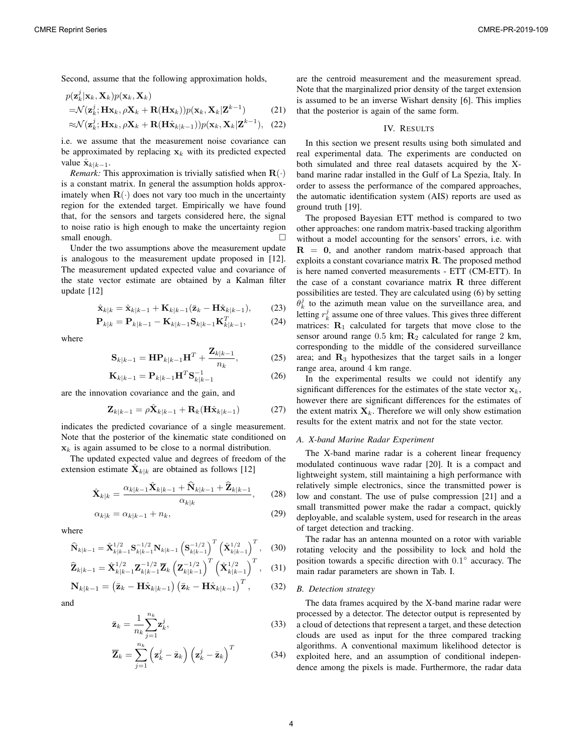Second, assume that the following approximation holds,

$$
p(\mathbf{z}_k^j | \mathbf{x}_k, \mathbf{X}_k) p(\mathbf{x}_k, \mathbf{X}_k)
$$
  
=\mathcal{N}(\mathbf{z}\_k^j; \mathbf{H}\mathbf{x}\_k, \rho \mathbf{X}\_k + \mathbf{R}(\mathbf{H}\mathbf{x}\_k)) p(\mathbf{x}\_k, \mathbf{X}\_k | \mathbf{Z}^{k-1}) (21)

$$
\approx \mathcal{N}(\mathbf{z}_k^j; \mathbf{H}\mathbf{x}_k, \rho \mathbf{X}_k + \mathbf{R}(\mathbf{H}\hat{\mathbf{x}}_{k|k-1})) p(\mathbf{x}_k, \mathbf{X}_k | \mathbf{Z}^{k-1}), \quad (22)
$$

i.e. we assume that the measurement noise covariance can be approximated by replacing  $x_k$  with its predicted expected value  $\hat{\mathbf{x}}_{k|k-1}$ .

*Remark:* This approximation is trivially satisfied when  $\mathbf{R}(\cdot)$ is a constant matrix. In general the assumption holds approximately when  $\mathbf{R}(\cdot)$  does not vary too much in the uncertainty region for the extended target. Empirically we have found that, for the sensors and targets considered here, the signal to noise ratio is high enough to make the uncertainty region small enough.  $\Box$ 

Under the two assumptions above the measurement update is analogous to the measurement update proposed in [12]. The measurement updated expected value and covariance of the state vector estimate are obtained by a Kalman filter update [12]

$$
\hat{\mathbf{x}}_{k|k} = \hat{\mathbf{x}}_{k|k-1} + \mathbf{K}_{k|k-1}(\bar{\mathbf{z}}_k - \mathbf{H}\hat{\mathbf{x}}_{k|k-1}),
$$
 (23)

$$
\mathbf{P}_{k|k} = \mathbf{P}_{k|k-1} - \mathbf{K}_{k|k-1} \mathbf{S}_{k|k-1} \mathbf{K}_{k|k-1}^T, \tag{24}
$$

where

$$
\mathbf{S}_{k|k-1} = \mathbf{H} \mathbf{P}_{k|k-1} \mathbf{H}^T + \frac{\mathbf{Z}_{k|k-1}}{n_k},
$$
 (25)

$$
\mathbf{K}_{k|k-1} = \mathbf{P}_{k|k-1} \mathbf{H}^T \mathbf{S}_{k|k-1}^{-1}
$$
 (26)

are the innovation covariance and the gain, and

$$
\mathbf{Z}_{k|k-1} = \rho \hat{\mathbf{X}}_{k|k-1} + \mathbf{R}_k (\mathbf{H} \hat{\mathbf{x}}_{k|k-1})
$$
 (27)

indicates the predicted covariance of a single measurement. Note that the posterior of the kinematic state conditioned on  $x_k$  is again assumed to be close to a normal distribution.

The updated expected value and degrees of freedom of the extension estimate  $\hat{\mathbf{X}}_{k|k}$  are obtained as follows [12]

$$
\hat{\mathbf{X}}_{k|k} = \frac{\alpha_{k|k-1}\hat{\mathbf{X}}_{k|k-1} + \hat{\mathbf{N}}_{k|k-1} + \hat{\mathbf{Z}}_{k|k-1}}{\alpha_{k|k}},\qquad(28)
$$

$$
\alpha_{k|k} = \alpha_{k|k-1} + n_k, \tag{29}
$$

where

$$
\widehat{\mathbf{N}}_{k|k-1} = \widehat{\mathbf{X}}_{k|k-1}^{1/2} \mathbf{S}_{k|k-1}^{-1/2} \mathbf{N}_{k|k-1} \left( \mathbf{S}_{k|k-1}^{-1/2} \right)^T \left( \widehat{\mathbf{X}}_{k|k-1}^{1/2} \right)^T, \quad (30)
$$

$$
\widehat{\mathbf{Z}}_{k|k-1} = \widehat{\mathbf{X}}_{k|k-1}^{1/2} \mathbf{Z}_{k|k-1}^{-1/2} \overline{\mathbf{Z}}_{k} \left( \mathbf{Z}_{k|k-1}^{-1/2} \right)^{T} \left( \widehat{\mathbf{X}}_{k|k-1}^{1/2} \right)^{T}, \quad (31)
$$

$$
\mathbf{N}_{k|k-1} = (\bar{\mathbf{z}}_k - \mathbf{H}\hat{\mathbf{x}}_{k|k-1}) (\bar{\mathbf{z}}_k - \mathbf{H}\hat{\mathbf{x}}_{k|k-1})^T, \qquad (32)
$$

and

$$
\bar{\mathbf{z}}_k = \frac{1}{n_k} \sum_{j=1}^{n_k} \mathbf{z}_k^j,\tag{33}
$$

$$
\overline{\mathbf{Z}}_k = \sum_{j=1}^{n_k} \left( \mathbf{z}_k^j - \overline{\mathbf{z}}_k \right) \left( \mathbf{z}_k^j - \overline{\mathbf{z}}_k \right)^T \tag{34}
$$

are the centroid measurement and the measurement spread. Note that the marginalized prior density of the target extension is assumed to be an inverse Wishart density [6]. This implies that the posterior is again of the same form.

#### IV. RESULTS

In this section we present results using both simulated and real experimental data. The experiments are conducted on both simulated and three real datasets acquired by the Xband marine radar installed in the Gulf of La Spezia, Italy. In order to assess the performance of the compared approaches, the automatic identification system (AIS) reports are used as ground truth [19].

The proposed Bayesian ETT method is compared to two other approaches: one random matrix-based tracking algorithm without a model accounting for the sensors' errors, i.e. with  $R = 0$ , and another random matrix-based approach that exploits a constant covariance matrix R. The proposed method is here named converted measurements - ETT (CM-ETT). In the case of a constant covariance matrix R three different possibilities are tested. They are calculated using (6) by setting  $\hat{\theta}_k^j$  to the azimuth mean value on the surveillance area, and letting  $r_k^j$  assume one of three values. This gives three different matrices:  $\mathbf{R}_1$  calculated for targets that move close to the sensor around range 0.5 km;  $\mathbf{R}_2$  calculated for range 2 km, corresponding to the middle of the considered surveillance area; and  $\mathbf{R}_3$  hypothesizes that the target sails in a longer range area, around 4 km range.

In the experimental results we could not identify any significant differences for the estimates of the state vector  $x_k$ , however there are significant differences for the estimates of the extent matrix  $X_k$ . Therefore we will only show estimation results for the extent matrix and not for the state vector.

## *A. X-band Marine Radar Experiment*

The X-band marine radar is a coherent linear frequency modulated continuous wave radar [20]. It is a compact and lightweight system, still maintaining a high performance with relatively simple electronics, since the transmitted power is low and constant. The use of pulse compression [21] and a small transmitted power make the radar a compact, quickly deployable, and scalable system, used for research in the areas of target detection and tracking.

The radar has an antenna mounted on a rotor with variable rotating velocity and the possibility to lock and hold the position towards a specific direction with 0.1<sup>∘</sup> accuracy. The main radar parameters are shown in Tab. I.

# *B. Detection strategy*

The data frames acquired by the X-band marine radar were processed by a detector. The detector output is represented by a cloud of detections that represent a target, and these detection clouds are used as input for the three compared tracking algorithms. A conventional maximum likelihood detector is exploited here, and an assumption of conditional independence among the pixels is made. Furthermore, the radar data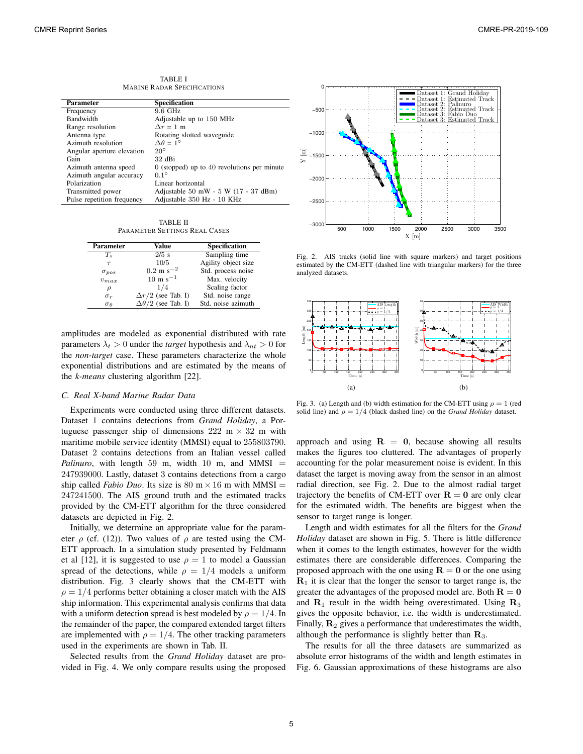TABLE I MARINE RADAR SPECIFICATIONS

| Parameter                  | <b>Specification</b>                          |
|----------------------------|-----------------------------------------------|
| Frequency                  | 9.6 GHz                                       |
| <b>Bandwidth</b>           | Adjustable up to 150 MHz                      |
| Range resolution           | $\Delta r = 1$ m                              |
| Antenna type               | Rotating slotted waveguide                    |
| Azimuth resolution         | $\Delta \theta = 1^{\circ}$                   |
| Angular aperture elevation | $20^{\circ}$                                  |
| Gain                       | $32$ dBi                                      |
| Azimuth antenna speed      | $0$ (stopped) up to 40 revolutions per minute |
| Azimuth angular accuracy   | $0.1^\circ$                                   |
| Polarization               | Linear horizontal                             |
| Transmitted power          | Adjustable $50$ mW $-5$ W $(17 - 37$ dBm)     |
| Pulse repetition frequency | Adjustable 350 Hz - 10 KHz                    |

TABLE II PARAMETER SETTINGS REAL CASES

| <b>Parameter</b>  | Value                         | <b>Specification</b> |  |
|-------------------|-------------------------------|----------------------|--|
| $T_s$             | $2/5$ s                       | Sampling time        |  |
| $\tau$            | 10/5                          | Agility object size  |  |
| $\sigma_{pos}$    | $0.2 \text{ m s}^{-2}$        | Std. process noise   |  |
| $v_{max}$         | $10 \text{ m s}^{-1}$         | Max. velocity        |  |
| ρ                 | 1/4                           | Scaling factor       |  |
| $\sigma_r$        | $\Delta r/2$ (see Tab. I)     | Std. noise range     |  |
| $\sigma_{\theta}$ | $\Delta\theta/2$ (see Tab. I) | Std. noise azimuth   |  |

amplitudes are modeled as exponential distributed with rate parameters  $\lambda_t > 0$  under the *target* hypothesis and  $\lambda_{nt} > 0$  for the *non-target* case. These parameters characterize the whole exponential distributions and are estimated by the means of the *k-means* clustering algorithm [22].

#### *C. Real X-band Marine Radar Data*

Experiments were conducted using three different datasets. Dataset 1 contains detections from *Grand Holiday*, a Portuguese passenger ship of dimensions  $222 \text{ m} \times 32 \text{ m}$  with maritime mobile service identity (MMSI) equal to 255803790. Dataset 2 contains detections from an Italian vessel called *Palinuro*, with length 59 m, width 10 m, and MMSI  $=$ 247939000. Lastly, dataset 3 contains detections from a cargo ship called *Fabio Duo*. Its size is 80 m  $\times$  16 m with MMSI = 247241500. The AIS ground truth and the estimated tracks provided by the CM-ETT algorithm for the three considered datasets are depicted in Fig. 2.

Initially, we determine an appropriate value for the parameter  $\rho$  (cf. (12)). Two values of  $\rho$  are tested using the CM-ETT approach. In a simulation study presented by Feldmann et al [12], it is suggested to use  $\rho = 1$  to model a Gaussian spread of the detections, while  $\rho = 1/4$  models a uniform distribution. Fig. 3 clearly shows that the CM-ETT with  $\rho = 1/4$  performs better obtaining a closer match with the AIS ship information. This experimental analysis confirms that data with a uniform detection spread is best modeled by  $\rho = 1/4$ . In the remainder of the paper, the compared extended target filters are implemented with  $\rho = 1/4$ . The other tracking parameters used in the experiments are shown in Tab. II.

Selected results from the *Grand Holiday* dataset are provided in Fig. 4. We only compare results using the proposed



Fig. 2. AIS tracks (solid line with square markers) and target positions estimated by the CM-ETT (dashed line with triangular markers) for the three analyzed datasets.



Fig. 3. (a) Length and (b) width estimation for the CM-ETT using  $\rho = 1$  (red solid line) and  $\rho = 1/4$  (black dashed line) on the *Grand Holiday* dataset.

approach and using  $R = 0$ , because showing all results makes the figures too cluttered. The advantages of properly accounting for the polar measurement noise is evident. In this dataset the target is moving away from the sensor in an almost radial direction, see Fig. 2. Due to the almost radial target trajectory the benefits of CM-ETT over  $R = 0$  are only clear for the estimated width. The benefits are biggest when the sensor to target range is longer.

Length and width estimates for all the filters for the *Grand Holiday* dataset are shown in Fig. 5. There is little difference when it comes to the length estimates, however for the width estimates there are considerable differences. Comparing the proposed approach with the one using  $R = 0$  or the one using  **it is clear that the longer the sensor to target range is, the** greater the advantages of the proposed model are. Both  $R = 0$ and  $\mathbf{R}_1$  result in the width being overestimated. Using  $\mathbf{R}_3$ gives the opposite behavior, i.e. the width is underestimated. Finally,  $\mathbf{R}_2$  gives a performance that underestimates the width, although the performance is slightly better than  $\mathbf{R}_3$ .

The results for all the three datasets are summarized as absolute error histograms of the width and length estimates in Fig. 6. Gaussian approximations of these histograms are also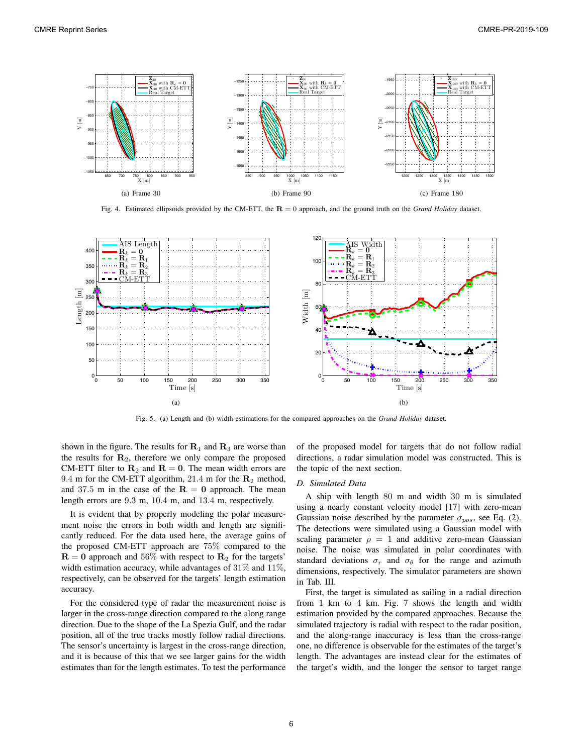

Fig. 4. Estimated ellipsoids provided by the CM-ETT, the  $R = 0$  approach, and the ground truth on the *Grand Holiday* dataset.



Fig. 5. (a) Length and (b) width estimations for the compared approaches on the *Grand Holiday* dataset.

shown in the figure. The results for  $\mathbf{R}_1$  and  $\mathbf{R}_3$  are worse than the results for  $\mathbf{R}_2$ , therefore we only compare the proposed CM-ETT filter to  $\mathbf{R}_2$  and  $\mathbf{R} = \mathbf{0}$ . The mean width errors are 9.4 m for the CM-ETT algorithm, 21.4 m for the  $\mathbb{R}_2$  method, and 37.5 m in the case of the  $R = 0$  approach. The mean length errors are 9.3 m, 10.4 m, and 13.4 m, respectively.

It is evident that by properly modeling the polar measurement noise the errors in both width and length are significantly reduced. For the data used here, the average gains of the proposed CM-ETT approach are 75% compared to the  $\mathbf{R} = \mathbf{0}$  approach and 56% with respect to  $\mathbf{R}_2$  for the targets' width estimation accuracy, while advantages of  $31\%$  and  $11\%$ , respectively, can be observed for the targets' length estimation accuracy.

For the considered type of radar the measurement noise is larger in the cross-range direction compared to the along range direction. Due to the shape of the La Spezia Gulf, and the radar position, all of the true tracks mostly follow radial directions. The sensor's uncertainty is largest in the cross-range direction, and it is because of this that we see larger gains for the width estimates than for the length estimates. To test the performance of the proposed model for targets that do not follow radial directions, a radar simulation model was constructed. This is the topic of the next section.

#### *D. Simulated Data*

A ship with length 80 m and width 30 m is simulated using a nearly constant velocity model [17] with zero-mean Gaussian noise described by the parameter  $\sigma_{pos}$ , see Eq. (2). The detections were simulated using a Gaussian model with scaling parameter  $\rho = 1$  and additive zero-mean Gaussian noise. The noise was simulated in polar coordinates with standard deviations  $\sigma_r$  and  $\sigma_\theta$  for the range and azimuth dimensions, respectively. The simulator parameters are shown in Tab. III.

First, the target is simulated as sailing in a radial direction from 1 km to 4 km. Fig. 7 shows the length and width estimation provided by the compared approaches. Because the simulated trajectory is radial with respect to the radar position, and the along-range inaccuracy is less than the cross-range one, no difference is observable for the estimates of the target's length. The advantages are instead clear for the estimates of the target's width, and the longer the sensor to target range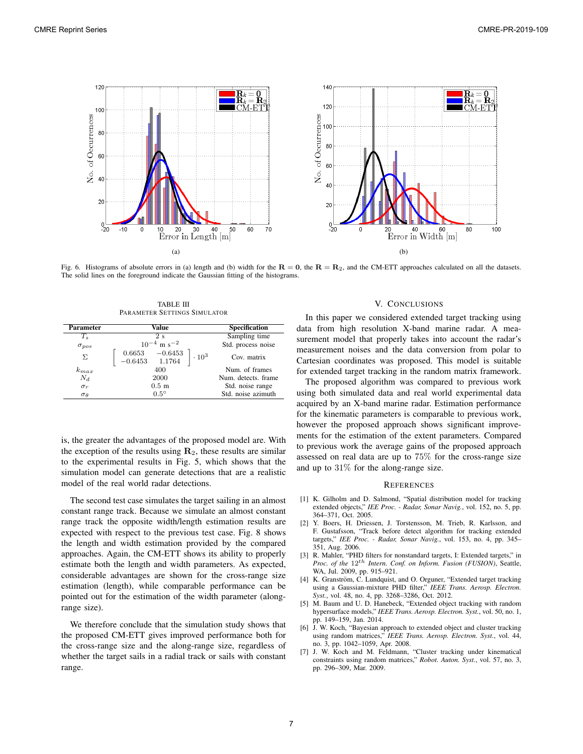

Fig. 6. Histograms of absolute errors in (a) length and (b) width for the  $R = 0$ , the  $R = R_2$ , and the CM-ETT approaches calculated on all the datasets. The solid lines on the foreground indicate the Gaussian fitting of the histograms.

TABLE III PARAMETER SETTINGS SIMULATOR

| <b>Parameter</b>  | Value                                                                                  | <b>Specification</b> |
|-------------------|----------------------------------------------------------------------------------------|----------------------|
| $T_s$             | 2s                                                                                     | Sampling time        |
| $\sigma_{pos}$    | $10^{-4}$ m s <sup>-2</sup>                                                            | Std. process noise   |
| Σ                 | $\begin{bmatrix} 0.6653 & -0.6453 \\ -0.6453 & 1.1764 \end{bmatrix}$<br>$\cdot 10^{3}$ | Cov. matrix          |
| $k_{max}$         | 400                                                                                    | Num. of frames       |
| $N_d$             | 2000                                                                                   | Num. detects. frame  |
| $\sigma_r$        | 0.5 <sub>m</sub>                                                                       | Std. noise range     |
| $\sigma_{\theta}$ | $0.5^\circ$                                                                            | Std. noise azimuth   |

is, the greater the advantages of the proposed model are. With the exception of the results using  $\mathbf{R}_2$ , these results are similar to the experimental results in Fig. 5, which shows that the simulation model can generate detections that are a realistic model of the real world radar detections.

The second test case simulates the target sailing in an almost constant range track. Because we simulate an almost constant range track the opposite width/length estimation results are expected with respect to the previous test case. Fig. 8 shows the length and width estimation provided by the compared approaches. Again, the CM-ETT shows its ability to properly estimate both the length and width parameters. As expected, considerable advantages are shown for the cross-range size estimation (length), while comparable performance can be pointed out for the estimation of the width parameter (alongrange size).

We therefore conclude that the simulation study shows that the proposed CM-ETT gives improved performance both for the cross-range size and the along-range size, regardless of whether the target sails in a radial track or sails with constant range.

### V. CONCLUSIONS

In this paper we considered extended target tracking using data from high resolution X-band marine radar. A measurement model that properly takes into account the radar's measurement noises and the data conversion from polar to Cartesian coordinates was proposed. This model is suitable for extended target tracking in the random matrix framework.

The proposed algorithm was compared to previous work using both simulated data and real world experimental data acquired by an X-band marine radar. Estimation performance for the kinematic parameters is comparable to previous work, however the proposed approach shows significant improvements for the estimation of the extent parameters. Compared to previous work the average gains of the proposed approach assessed on real data are up to 75% for the cross-range size and up to 31% for the along-range size.

#### **REFERENCES**

- [1] K. Gilholm and D. Salmond, "Spatial distribution model for tracking extended objects," *IEE Proc. - Radar, Sonar Navig.*, vol. 152, no. 5, pp. 364–371, Oct. 2005.
- [2] Y. Boers, H. Driessen, J. Torstensson, M. Trieb, R. Karlsson, and F. Gustafsson, "Track before detect algorithm for tracking extended targets," *IEE Proc. - Radar, Sonar Navig.*, vol. 153, no. 4, pp. 345– 351, Aug. 2006.
- [3] R. Mahler, "PHD filters for nonstandard targets, I: Extended targets," in *Proc. of the*  $12^{th}$  *Intern. Conf. on Inform. Fusion (FUSION)*, Seattle, WA, Jul. 2009, pp. 915–921.
- [4] K. Granström, C. Lundquist, and O. Orguner, "Extended target tracking using a Gaussian-mixture PHD filter," *IEEE Trans. Aerosp. Electron. Syst.*, vol. 48, no. 4, pp. 3268–3286, Oct. 2012.
- [5] M. Baum and U. D. Hanebeck, "Extended object tracking with random hypersurface models," *IEEE Trans. Aerosp. Electron. Syst.*, vol. 50, no. 1, pp. 149–159, Jan. 2014.
- [6] J. W. Koch, "Bayesian approach to extended object and cluster tracking using random matrices," *IEEE Trans. Aerosp. Electron. Syst.*, vol. 44, no. 3, pp. 1042–1059, Apr. 2008.
- [7] J. W. Koch and M. Feldmann, "Cluster tracking under kinematical constraints using random matrices," *Robot. Auton. Syst.*, vol. 57, no. 3, pp. 296–309, Mar. 2009.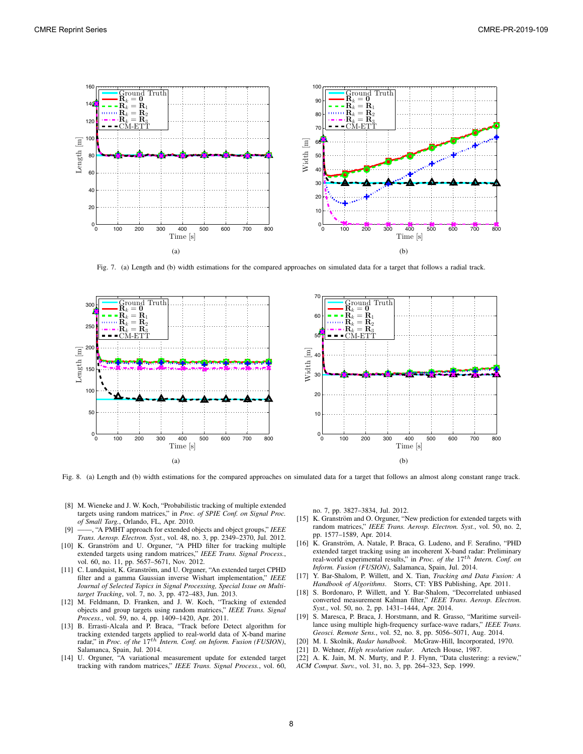

Fig. 7. (a) Length and (b) width estimations for the compared approaches on simulated data for a target that follows a radial track.



Fig. 8. (a) Length and (b) width estimations for the compared approaches on simulated data for a target that follows an almost along constant range track.

- [8] M. Wieneke and J. W. Koch, "Probabilistic tracking of multiple extended targets using random matrices," in *Proc. of SPIE Conf. on Signal Proc. of Small Targ.*, Orlando, FL, Apr. 2010.
- [9] ——, "A PMHT approach for extended objects and object groups," *IEEE Trans. Aerosp. Electron. Syst.*, vol. 48, no. 3, pp. 2349–2370, Jul. 2012.
- [10] K. Granström and U. Orguner, "A PHD filter for tracking multiple extended targets using random matrices," *IEEE Trans. Signal Process.*, vol. 60, no. 11, pp. 5657–5671, Nov. 2012.
- [11] C. Lundquist, K. Granström, and U. Orguner, "An extended target CPHD filter and a gamma Gaussian inverse Wishart implementation," *IEEE Journal of Selected Topics in Signal Processing, Special Issue on Multitarget Tracking*, vol. 7, no. 3, pp. 472–483, Jun. 2013.
- [12] M. Feldmann, D. Franken, and J. W. Koch, "Tracking of extended objects and group targets using random matrices," *IEEE Trans. Signal Process.*, vol. 59, no. 4, pp. 1409–1420, Apr. 2011.
- [13] B. Errasti-Alcala and P. Braca, "Track before Detect algorithm for tracking extended targets applied to real-world data of X-band marine<br>radar," in *Proc. of the* 17<sup>th</sup> Intern. Conf. on Inform. Fusion (FUSION), Salamanca, Spain, Jul. 2014.
- [14] U. Orguner, "A variational measurement update for extended target tracking with random matrices," *IEEE Trans. Signal Process.*, vol. 60,

no. 7, pp. 3827–3834, Jul. 2012.

- [15] K. Granström and O. Orguner, "New prediction for extended targets with random matrices," *IEEE Trans. Aerosp. Electron. Syst.*, vol. 50, no. 2, pp. 1577–1589, Apr. 2014.
- [16] K. Granström, A. Natale, P. Braca, G. Ludeno, and F. Serafino, "PHD extended target tracking using an incoherent X-band radar: Preliminary<br>real-world experimental results," in *Proc. of the* 17<sup>th</sup> Intern. Conf. on *Inform. Fusion (FUSION)*, Salamanca, Spain, Jul. 2014.
- [17] Y. Bar-Shalom, P. Willett, and X. Tian, *Tracking and Data Fusion: A Handbook of Algorithms*. Storrs, CT: YBS Publishing, Apr. 2011.
- [18] S. Bordonaro, P. Willett, and Y. Bar-Shalom, "Decorrelated unbiased converted measurement Kalman filter," *IEEE Trans. Aerosp. Electron. Syst.*, vol. 50, no. 2, pp. 1431–1444, Apr. 2014.
- [19] S. Maresca, P. Braca, J. Horstmann, and R. Grasso, "Maritime surveillance using multiple high-frequency surface-wave radars," *IEEE Trans. Geosci. Remote Sens.*, vol. 52, no. 8, pp. 5056–5071, Aug. 2014.
- [20] M. I. Skolnik, *Radar handbook*. McGraw-Hill, Incorporated, 1970.
- [21] D. Wehner, *High resolution radar*. Artech House, 1987.
- [22] A. K. Jain, M. N. Murty, and P. J. Flynn, "Data clustering: a review,"
- *ACM Comput. Surv.*, vol. 31, no. 3, pp. 264–323, Sep. 1999.